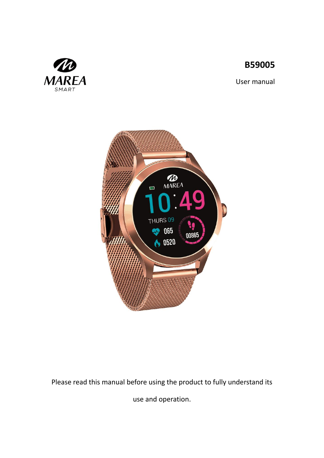# **B59005**



User manual



Please read this manual before using the product to fully understand its

use and operation.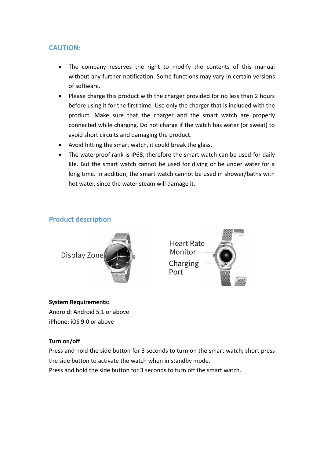### **CAUTION:**

- The company reserves the right to modify the contents of this manual without any further notification. Some functions may vary in certain versions of software.
- Please charge this product with the charger provided for no less than 2 hours before using it for the first time. Use only the charger that is included with the product. Make sure that the charger and the smart watch are properly connected while charging. Do not charge if the watch has water (or sweat) to avoid short circuits and damaging the product.
- Avoid hitting the smart watch, it could break the glass.
- The waterproof rank is IP68, therefore the smart watch can be used for daily life. But the smart watch cannot be used for diving or be under water for a long time. In addition, the smart watch cannot be used in shower/baths with hot water, since the water steam will damage it.

### **Product description**





### **System Requirements:**

Android: Android 5.1 or above iPhone: iOS 9.0 or above

#### **Turn on/off**

Press and hold the side button for 3 seconds to turn on the smart watch; short press the side button to activate the watch when in standby mode.

Press and hold the side button for 3 seconds to turn off the smart watch.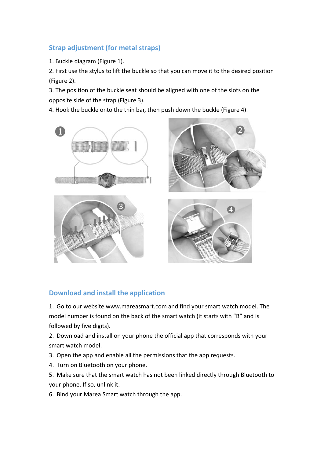## **Strap adjustment (for metal straps)**

1. Buckle diagram (Figure 1).

2. First use the stylus to lift the buckle so that you can move it to the desired position (Figure 2).

3. The position of the buckle seat should be aligned with one of the slots on the opposite side of the strap (Figure 3).

4. Hook the buckle onto the thin bar, then push down the buckle (Figure 4).



### **Download and install the application**

1. Go to our website www.mareasmart.com and find your smart watch model. The model number is found on the back of the smart watch (it starts with "B" and is followed by five digits).

2. Download and install on your phone the official app that corresponds with your smart watch model.

3. Open the app and enable all the permissions that the app requests.

4. Turn on Bluetooth on your phone.

5. Make sure that the smart watch has not been linked directly through Bluetooth to your phone. If so, unlink it.

6. Bind your Marea Smart watch through the app.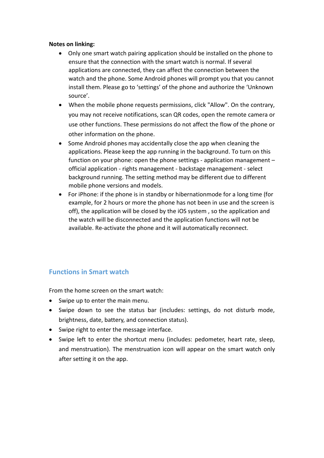#### **Notes on linking:**

- Only one smart watch pairing application should be installed on the phone to ensure that the connection with the smart watch is normal. If several applications are connected, they can affect the connection between the watch and the phone. Some Android phones will prompt you that you cannot install them. Please go to 'settings' of the phone and authorize the 'Unknown source'.
- When the mobile phone requests permissions, click "Allow". On the contrary, you may not receive notifications, scan QR codes, open the remote camera or use other functions. These permissions do not affect the flow of the phone or other information on the phone.
- Some Android phones may accidentally close the app when cleaning the applications. Please keep the app running in the background. To turn on this function on your phone: open the phone settings - application management – official application - rights management - backstage management - select background running. The setting method may be different due to different mobile phone versions and models.
- For iPhone: if the phone is in standby or hibernationmode for a long time (for example, for 2 hours or more the phone has not been in use and the screen is off), the application will be closed by the iOS system , so the application and the watch will be disconnected and the application functions will not be available. Re-activate the phone and it will automatically reconnect.

### **Functions in Smart watch**

From the home screen on the smart watch:

- Swipe up to enter the main menu.
- Swipe down to see the status bar (includes: settings, do not disturb mode, brightness, date, battery, and connection status).
- Swipe right to enter the message interface.
- Swipe left to enter the shortcut menu (includes: pedometer, heart rate, sleep, and menstruation). The menstruation icon will appear on the smart watch only after setting it on the app.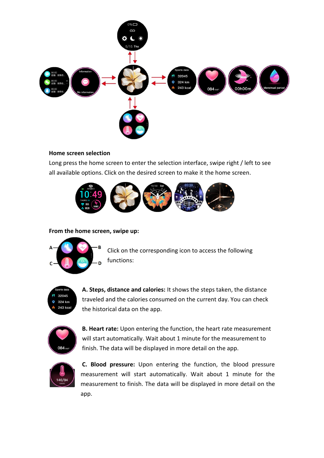

### **Home screen selection**

Long press the home screen to enter the selection interface, swipe right / left to see all available options. Click on the desired screen to make it the home screen.



**From the home screen, swipe up:**



Click on the corresponding icon to access the following functions:



**A. Steps, distance and calories:** It shows the steps taken, the distance traveled and the calories consumed on the current day. You can check the historical data on the app.



**B. Heart rate:** Upon entering the function, the heart rate measurement will start automatically. Wait about 1 minute for the measurement to finish. The data will be displayed in more detail on the app.



**C. Blood pressure:** Upon entering the function, the blood pressure measurement will start automatically. Wait about 1 minute for the measurement to finish. The data will be displayed in more detail on the app.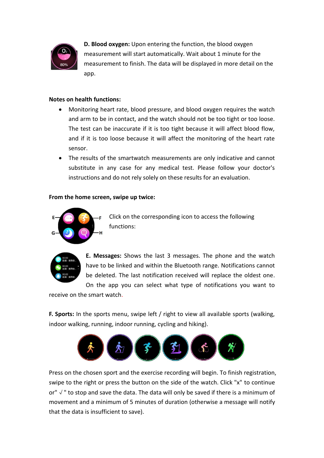

**D. Blood oxygen:** Upon entering the function, the blood oxygen measurement will start automatically. Wait about 1 minute for the measurement to finish. The data will be displayed in more detail on the app.

### **Notes on health functions:**

- Monitoring heart rate, blood pressure, and blood oxygen requires the watch and arm to be in contact, and the watch should not be too tight or too loose. The test can be inaccurate if it is too tight because it will affect blood flow, and if it is too loose because it will affect the monitoring of the heart rate sensor.
- The results of the smartwatch measurements are only indicative and cannot substitute in any case for any medical test. Please follow your doctor's instructions and do not rely solely on these results for an evaluation.

### **From the home screen, swipe up twice:**



Click on the corresponding icon to access the following functions:



**E. Messages:** Shows the last 3 messages. The phone and the watch have to be linked and within the Bluetooth range. Notifications cannot be deleted. The last notification received will replace the oldest one.

On the app you can select what type of notifications you want to receive on the smart watch.

**F. Sports:** In the sports menu, swipe left / right to view all available sports (walking, indoor walking, running, indoor running, cycling and hiking).



Press on the chosen sport and the exercise recording will begin. To finish registration, swipe to the right or press the button on the side of the watch. Click "x" to continue or"√" to stop and save the data. The data will only be saved if there is a minimum of movement and a minimum of 5 minutes of duration (otherwise a message will notify that the data is insufficient to save).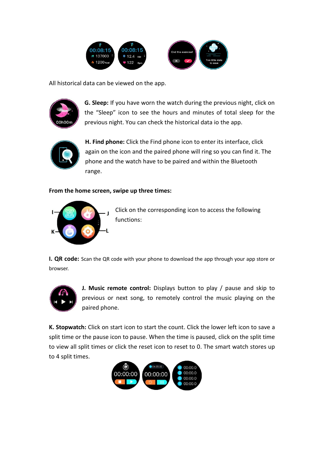

All historical data can be viewed on the app.



**G. Sleep:** If you have worn the watch during the previous night, click on the "Sleep" icon to see the hours and minutes of total sleep for the previous night. You can check the historical data io the app.



**H. Find phone:** Click the Find phone icon to enter its interface, click again on the icon and the paired phone will ring so you can find it. The phone and the watch have to be paired and within the Bluetooth range.

### **From the home screen, swipe up three times:**



Click on the corresponding icon to access the following functions:

**I. QR code:** Scan the QR code with your phone to download the app through your app store or browser.



**J. Music remote control:** Displays button to play / pause and skip to previous or next song, to remotely control the music playing on the paired phone.

**K. Stopwatch:** Click on start icon to start the count. Click the lower left icon to save a split time or the pause icon to pause. When the time is paused, click on the split time to view all split times or click the reset icon to reset to 0. The smart watch stores up to 4 split times.

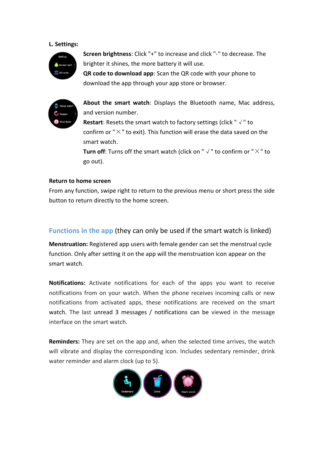#### **L. Settings:**



**Screen brightness**: Click "+" to increase and click "-" to decrease. The brighter it shines, the more battery it will use.

**QR code to download app**: Scan the QR code with your phone to download the app through your app store or browser.



**About the smart watch**: Displays the Bluetooth name, Mac address, and version number.

**Restart**: Resets the smart watch to factory settings (click "√" to confirm or " $\times$ " to exit). This function will erase the data saved on the smart watch.

**Turn off:** Turns off the smart watch (click on " $\sqrt{ }$ " to confirm or " $\times$ " to go out).

#### **Return to home screen**

From any function, swipe right to return to the previous menu or short press the side button to return directly to the home screen.

### **Functions in the app** (they can only be used if the smart watch is linked)

**Menstruation:** Registered app users with female gender can set the menstrual cycle function. Only after setting it on the app will the menstruation icon appear on the smart watch.

**Notifications:** Activate notifications for each of the apps you want to receive notifications from on your watch. When the phone receives incoming calls or new notifications from activated apps, these notifications are received on the smart watch. The last unread 3 messages / notifications can be viewed in the message interface on the smart watch.

**Reminders:** They are set on the app and, when the selected time arrives, the watch will vibrate and display the corresponding icon. Includes sedentary reminder, drink water reminder and alarm clock (up to 5).